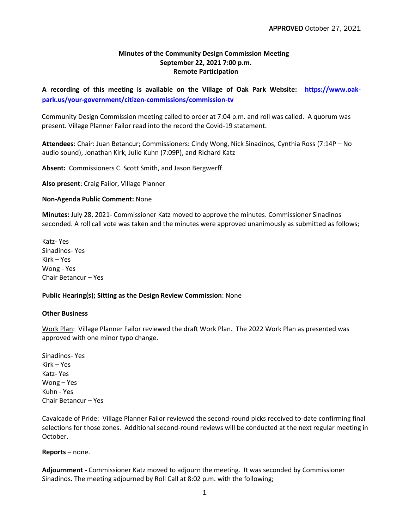## **Minutes of the Community Design Commission Meeting September 22, 2021 7:00 p.m. Remote Participation**

**A recording of this meeting is available on the Village of Oak Park Website: [https://www.oak](https://www.oak-park.us/your-government/citizen-commissions/commission-tv)[park.us/your-government/citizen-commissions/commission-tv](https://www.oak-park.us/your-government/citizen-commissions/commission-tv)**

Community Design Commission meeting called to order at 7:04 p.m. and roll was called. A quorum was present. Village Planner Failor read into the record the Covid-19 statement.

**Attendees**: Chair: Juan Betancur; Commissioners: Cindy Wong, Nick Sinadinos, Cynthia Ross (7:14P – No audio sound), Jonathan Kirk, Julie Kuhn (7:09P), and Richard Katz

**Absent:** Commissioners C. Scott Smith, and Jason Bergwerff

**Also present**: Craig Failor, Village Planner

## **Non-Agenda Public Comment:** None

**Minutes:** July 28, 2021- Commissioner Katz moved to approve the minutes. Commissioner Sinadinos seconded. A roll call vote was taken and the minutes were approved unanimously as submitted as follows;

Katz- Yes Sinadinos- Yes Kirk – Yes Wong - Yes Chair Betancur – Yes

## **Public Hearing(s); Sitting as the Design Review Commission**: None

## **Other Business**

Work Plan: Village Planner Failor reviewed the draft Work Plan. The 2022 Work Plan as presented was approved with one minor typo change.

Sinadinos- Yes Kirk – Yes Katz- Yes Wong – Yes Kuhn - Yes Chair Betancur – Yes

Cavalcade of Pride: Village Planner Failor reviewed the second-round picks received to-date confirming final selections for those zones. Additional second-round reviews will be conducted at the next regular meeting in October.

**Reports –** none.

**Adjournment -** Commissioner Katz moved to adjourn the meeting. It was seconded by Commissioner Sinadinos. The meeting adjourned by Roll Call at 8:02 p.m. with the following;